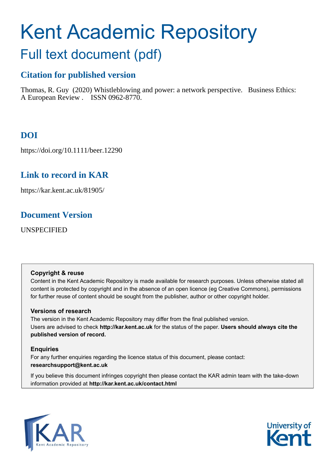# Kent Academic Repository Full text document (pdf)

# **Citation for published version**

Thomas, R. Guy (2020) Whistleblowing and power: a network perspective. Business Ethics: A European Review . ISSN 0962-8770.

# **DOI**

https://doi.org/10.1111/beer.12290

# **Link to record in KAR**

https://kar.kent.ac.uk/81905/

# **Document Version**

UNSPECIFIED

# **Copyright & reuse**

Content in the Kent Academic Repository is made available for research purposes. Unless otherwise stated all content is protected by copyright and in the absence of an open licence (eg Creative Commons), permissions for further reuse of content should be sought from the publisher, author or other copyright holder.

# **Versions of research**

The version in the Kent Academic Repository may differ from the final published version. Users are advised to check **http://kar.kent.ac.uk** for the status of the paper. **Users should always cite the published version of record.**

# **Enquiries**

For any further enquiries regarding the licence status of this document, please contact: **researchsupport@kent.ac.uk**

If you believe this document infringes copyright then please contact the KAR admin team with the take-down information provided at **http://kar.kent.ac.uk/contact.html**



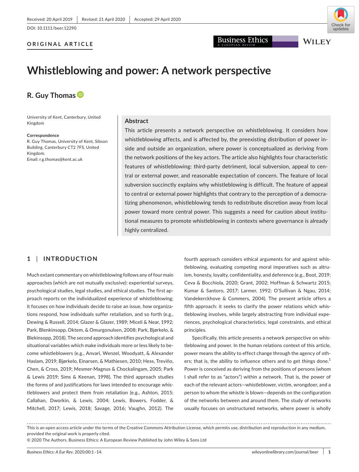#### **ORIGINAL ARTICLE**



Business Ethics

**WILEY** 

# **Whistleblowing and power: A network perspective**

# **R. Guy Thomas**

University of Kent, Canterbury, United Kingdom

#### **Correspondence**

R. Guy Thomas, University of Kent, Sibson Building, Canterbury CT2 7FS, United Kingdom. Email: [r.g.thomas@kent.ac.uk](mailto:r.g.thomas@kent.ac.uk)

#### **Abstract**

This article presents a network perspective on whistleblowing. It considers how whistleblowing affects, and is affected by, the preexisting distribution of power inside and outside an organization, where power is conceptualized as deriving from the network positions of the key actors. The article also highlights four characteristic features of whistleblowing: third-party detriment, local subversion, appeal to central or external power, and reasonable expectation of concern. The feature of local subversion succinctly explains why whistleblowing is difficult. The feature of appeal to central or external power highlights that contrary to the perception of a democratizing phenomenon, whistleblowing tends to redistribute discretion away from local power toward more central power. This suggests a need for caution about institutional measures to promote whistleblowing in contexts where governance is already highly centralized.

## **1** | **INTRODUCTION**

Much extant commentary on whistleblowing follows any of four main approaches (which are not mutually exclusive): experiential surveys, psychological studies, legal studies, and ethical studies. The first approach reports on the individualized experience of whistleblowing; it focuses on how individuals decide to raise an issue, how organizations respond, how individuals suffer retaliation, and so forth (e.g., Dewing & Russell, 2014; Glazer & Glazer, 1989; Miceli & Near, 1992; Park, Blenkinsopp, Oktem, & Omurgonulsen, 2008; Park, Bjørkelo, & Blekinsopp, 2018). The second approach identifies psychological and situational variables which make individuals more or less likely to become whistleblowers (e.g., Anvari, Wenzel, Woodyatt, & Alexander Haslam, 2019; Bjørkelo, Einarsen, & Mathiesen, 2010; Hess, Treviño, Chen, & Cross, 2019; Mesmer-Magnus & Chockalingam, 2005; Park & Lewis 2019; Sims & Keenan, 1998). The third approach studies the forms of and justifications for laws intended to encourage whistleblowers and protect them from retaliation (e.g., Ashton, 2015; Callahan, Dworkin, & Lewis, 2004; Lewis, Bowers, Fodder, & Mitchell, 2017; Lewis, 2018; Savage, 2016; Vaughn, 2012). The

fourth approach considers ethical arguments for and against whistleblowing, evaluating competing moral imperatives such as altruism, honesty, loyalty, confidentiality, and deference (e.g., Boot, 2019; Ceva & Bocchiola, 2020; Grant, 2002; Hoffman & Schwartz 2015; Kumar & Santoro, 2017; Larmer, 1992; O'Sullivan & Ngau, 2014; Vandekerckhove & Commers, 2004). The present article offers a fifth approach: it seeks to clarify the power relations which whistleblowing involves, while largely abstracting from individual experiences, psychological characteristics, legal constraints, and ethical principles.

Specifically, this article presents a network perspective on whistleblowing and power. In the human relations context of this article, power means the ability to effect change through the agency of others; that is, the ability to influence others and to get things done.<sup>1</sup> Power is conceived as deriving from the positions of persons (whom I shall refer to as "actors") within a network. That is, the power of each of the relevant actors—whistleblower, victim, wrongdoer, and a person to whom the whistle is blown—depends on the configuration of the networks between and around them. The study of networks usually focuses on unstructured networks, where power is wholly

This is an open access article under the terms of the [Creative Commons Attribution](http://creativecommons.org/licenses/by/4.0/) License, which permits use, distribution and reproduction in any medium, provided the original work is properly cited.

© 2020 The Authors. Business Ethics: A European Review Published by John Wiley & Sons Ltd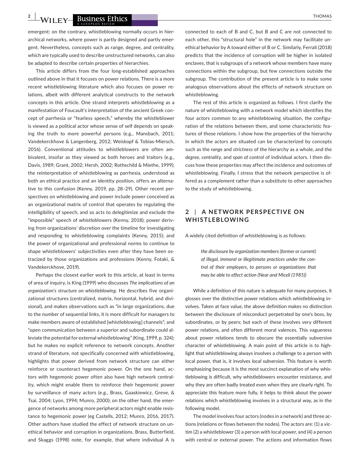**2 AVITEY** Business Ethics **CONSERVERS** Ethics **CONSERVERS** Ethics **Property** Executive CONSERVERSITY EXAMPLE THOMAS

emergent; on the contrary, whistleblowing normally occurs in hierarchical networks, where power is partly designed and partly emergent. Nevertheless, concepts such as range, degree, and centrality, which are typically used to describe unstructured networks, can also be adapted to describe certain properties of hierarchies.

This article differs from the four long-established approaches outlined above in that it focuses on power relations. There is a more recent whistleblowing literature which also focuses on power relations, albeit with different analytical constructs to the network concepts in this article. One strand interprets whistleblowing as a manifestation of Foucault's interpretation of the ancient Greek concept of parrhesia or "fearless speech," whereby the whistleblower is viewed as a political actor whose sense of self depends on speaking the truth to more powerful persons (e.g., Mansbach, 2011; Vandekerckhove & Langenberg, 2012; Weiskopf & Tobias-Miersch, 2016). Conventional attitudes to whistleblowers are often ambivalent, insofar as they viewed as both heroes and traitors (e.g., Davis, 1989; Grant, 2002; Hersh, 2002; Rothschild & Miethe, 1999); the reinterpretation of whistleblowing as parrhesia, understood as both an ethical practice and an identity position, offers an alternative to this confusion (Kenny, 2019, pp. 28–29). Other recent perspectives on whistleblowing and power include power conceived as an organizational matrix of control that operates by regulating the intelligibility of speech, and so acts to delegitimize and exclude the "impossible" speech of whistleblowers (Kenny, 2018); power deriving from organizations' discretion over the timeline for investigating and responding to whistleblowing complaints (Kenny, 2015); and the power of organizational and professional norms to continue to shape whistleblowers' subjectivities even after they have been ostracized by those organizations and professions (Kenny, Fotaki, & Vandekerckhove, 2019).

Perhaps the closest earlier work to this article, at least in terms of area of inquiry, is King (1999) who discusses *The implications of an organization's structure on whistleblowing*. He describes five organizational structures (centralized, matrix, horizontal, hybrid, and divisional), and makes observations such as "in large organizations, due to the number of sequential links, it is more difficult for managers to make members aware of established [whistleblowing] channels"; and "open communication between a superior and subordinate could alleviate the potential for external whistleblowing" (King, 1999, p. 324); but he makes no explicit reference to network concepts. Another strand of literature, not specifically concerned with whistleblowing, highlights that power derived from network structure can either reinforce or counteract hegemonic power. On the one hand, actors with hegemonic power often also have high network centrality, which might enable them to reinforce their hegemonic power by surveillance of many actors (e.g., Brass, Gaaskiewicz, Greve, & Tsai, 2004; Lyon, 1994; Munro, 2000); on the other hand, the emergence of networks among more peripheral actors might enable resistance to hegemonic power (eg Castells, 2012; Munro, 2016, 2017). Other authors have studied the effect of network structure on unethical behavior and corruption in organizations. Brass, Butterfield, and Skaggs (1998) note, for example, that where individual A is

connected to each of B and C, but B and C are not connected to each other, this "structural hole" in the network may facilitate unethical behavior by A toward either of B or C. Similarly, Ferrali (2018) predicts that the incidence of corruption will be higher in isolated enclaves, that is subgroups of a network whose members have many connections within the subgroup, but few connections outside the subgroup. The contribution of the present article is to make some analogous observations about the effects of network structure on whistleblowing.

The rest of this article is organized as follows. I first clarify the nature of whistleblowing with a network model which identifies the four actors common to any whistleblowing situation, the configuration of the relations between them, and some characteristic features of those relations. I show how the properties of the hierarchy in which the actors are situated can be characterized by concepts such as the *range* and *strictness* of the hierarchy as a whole, and the *degree, centrality,* and *span of control* of individual actors. I then discuss how these properties may affect the incidence and outcomes of whistleblowing. Finally, I stress that the network perspective is offered as a complement rather than a substitute to other approaches to the study of whistleblowing.

# **2** | **A NET WORK PERSPEC TIVE ON WHISTLEBLOWING**

A widely cited definition of whistleblowing is as follows:

*the disclosure by organization members (former or current) of illegal, immoral or illegitimate practices under the control of their employers, to persons or organizations that may be able to effect action (Near and Miceli (1985))*

While a definition of this nature is adequate for many purposes, it glosses over the distinctive power relations which whistleblowing involves. Taken at face value, the above definition makes no distinction between the disclosure of misconduct perpetrated by one's boss, by subordinates, or by peers; but each of these involves very different power relations, and often different moral valences. This vagueness about power relations tends to obscure the essentially subversive character of whistleblowing. A main point of this article is to highlight that whistleblowing always involves a challenge to a person with local power, that is, it involves *local subversion*. This feature is worth emphasizing because it is the most succinct explanation of why whistleblowing is difficult, why whistleblowers encounter resistance, and why they are often badly treated even when they are clearly right. To appreciate this feature more fully, it helps to think about the power relations which whistleblowing involves in a structural way, as in the following model.

The model involves four actors (nodes in a network) and three actions (relations or flows between the nodes). The actors are: (1) a victim (2) a whistleblower (3) a person with local power, and (4) a person with central or external power. The actions and information flows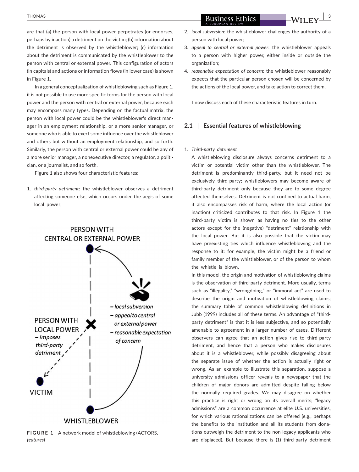are that (a) the person with local power perpetrates (or endorses, perhaps by inaction) a detriment on the victim; (b) information about the detriment is observed by the whistleblower; (c) information about the detriment is communicated by the whistleblower to the person with central or external power. This configuration of actors (in capitals) and actions or information flows (in lower case) is shown in Figure 1.

In a general conceptualization of whistleblowing such as Figure 1, it is not possible to use more specific terms for the person with local power and the person with central or external power, because each may encompass many types. Depending on the factual matrix, the person with local power could be the whistleblower's direct manager in an employment relationship, or a more senior manager, or someone who is able to exert some influence over the whistleblower and others but without an employment relationship, and so forth. Similarly, the person with central or external power could be any of a more senior manager, a nonexecutive director, a regulator, a politician, or a journalist, and so forth.

Figure 1 also shows four characteristic features:

1. *third-party detriment*: the whistleblower observes a detriment affecting someone else, which occurs under the aegis of some local power;



**FIGURE 1** A network model of whistleblowing (ACTORS, *features*)

**EXECUTE 2 BUSINESS Ethics CONSUMING 2 AND 19 IN 23** 

- 2. *local subversion*: the whistleblower challenges the authority of a person with local power;
- 3. *appeal to central or external power*: the whistleblower appeals to a person with higher power, either inside or outside the organization;
- 4. *reasonable expectation of concern*: the whistleblower reasonably expects that the particular person chosen will be concerned by the actions of the local power, and take action to correct them.

I now discuss each of these characteristic features in turn.

#### **2.1** | **Essential features of whistleblowing**

#### 1. *Third-party detriment*

A whistleblowing disclosure always concerns detriment to a victim or potential victim other than the whistleblower. The detriment is predominantly third-party, but it need not be exclusively third-party; whistleblowers may become aware of third-party detriment only because they are to some degree affected themselves. Detriment is not confined to actual harm, it also encompasses risk of harm, where the local action (or inaction) criticized contributes to that risk. In Figure 1 the third-party victim is shown as having no ties to the other actors except for the (negative) "detriment" relationship with the local power. But it is also possible that the victim may have preexisting ties which influence whistleblowing and the response to it: for example, the victim might be a friend or family member of the whistleblower, or of the person to whom the whistle is blown.

In this model, the origin and motivation of whistleblowing claims is the observation of third-party detriment. More usually, terms such as "illegality," "wrongdoing," or "immoral act" are used to describe the origin and motivation of whistleblowing claims; the summary table of common whistleblowing definitions in Jubb (1999) includes all of these terms. An advantage of "thirdparty detriment" is that it is less subjective, and so potentially amenable to agreement in a larger number of cases. Different observers can agree that an action gives rise to third-party detriment, and hence that a person who makes disclosures about it is a whistleblower, while possibly disagreeing about the separate issue of whether the action is actually right or wrong. As an example to illustrate this separation, suppose a university admissions officer reveals to a newspaper that the children of major donors are admitted despite falling below the normally required grades. We may disagree on whether this practice is right or wrong on its overall merits; "legacy admissions" are a common occurrence at elite U.S. universities, for which various rationalizations can be offered (e.g., perhaps the benefits to the institution and all its students from donations outweigh the detriment to the non-legacy applicants who are displaced). But because there is (1) third-party detriment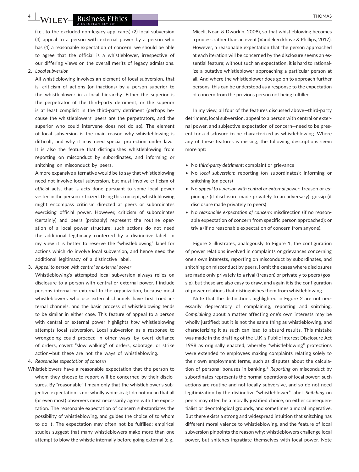**4 L W**/H **EV BUSINESS Ethics** 

(i.e., to the excluded non-legacy applicants) (2) local subversion (3) appeal to a person with external power by a person who has (4) a reasonable expectation of concern, we should be able to agree that the official is a whistleblower, irrespective of our differing views on the overall merits of legacy admissions.

2. *Local subversion*

All whistleblowing involves an element of local subversion, that is, criticism of actions (or inactions) by a person superior to the whistleblower in a local hierarchy. Either the superior is the perpetrator of the third-party detriment, or the superior is at least complicit in the third-party detriment (perhaps because the whistleblowers' peers are the perpetrators, and the superior who could intervene does not do so). The element of local subversion is the main reason why whistleblowing is difficult, and why it may need special protection under law. It is also the feature that distinguishes whistleblowing from reporting on misconduct by subordinates, and informing or snitching on misconduct by peers.

A more expansive alternative would be to say that whistleblowing need not involve local subversion, but must involve criticism of *official* acts, that is acts done pursuant to some local power vested in the person criticized. Using this concept, whistleblowing might encompass criticism directed at peers or subordinates exercising official power. However, criticism of subordinates (certainly) and peers (probably) represent the routine operation of a local power structure; such actions do not need the additional legitimacy conferred by a distinctive label. In my view it is better to reserve the "whistleblowing" label for actions which do involve local subversion, and hence need the additional legitimacy of a distinctive label.

3. *Appeal to person with central or external power*

Whistleblowing's attempted local subversion always relies on disclosure to a person with central or external power. I include persons internal or external to the organization, because most whistleblowers who use external channels have first tried internal channels, and the basic process of whistleblowing tends to be similar in either case. This feature of appeal to a person with central or external power highlights *how* whistleblowing attempts local subversion. Local subversion as a response to wrongdoing could proceed in other ways—by overt defiance of orders, covert "slow walking" of orders, sabotage, or strike action—but these are not the ways of whistleblowing.

- 4. *Reasonable expectation of concern*
- Whistleblowers have a reasonable expectation that the person to whom they choose to report will be concerned by their disclosures. By "reasonable" I mean only that the whistleblower's subjective expectation is not wholly whimsical; I do not mean that all (or even most) observers must necessarily agree with the expectation. The reasonable expectation of concern substantiates the possibility of whistleblowing, and guides the choice of to whom to do it. The expectation may often not be fulfilled: empirical studies suggest that many whistleblowers make more than one attempt to blow the whistle internally before going external (e.g.,

Miceli, Near, & Dworkin, 2008), so that whistleblowing becomes a process rather than an event (Vandekerckhove & Phillips, 2017). However, a reasonable expectation that the person approached at each iteration will be concerned by the disclosure seems an essential feature; without such an expectation, it is hard to rationalize a putative whistleblower approaching a particular person at all. And where the whistleblower does go on to approach further persons, this can be understood as a response to the expectation of concern from the previous person not being fulfilled.

In my view, all four of the features discussed above—third-party detriment, local subversion, appeal to a person with central or external power, and subjective expectation of concern—need to be present for a disclosure to be characterized as whistleblowing. Where any of these features is missing, the following descriptions seem more apt:

- No *third-party detriment*: complaint or grievance
- No *local subversion*: reporting (on subordinates); informing or snitching (on peers)
- No *appeal to a person with central or external power*: treason or espionage (if disclosure made privately to an adversary); gossip (if disclosure made privately to peers)
- No *reasonable expectation of concern*: misdirection (if no reasonable expectation of concern from specific person approached); or trivia (if no reasonable expectation of concern from anyone).

Figure 2 illustrates, analogously to Figure 1, the configuration of power relations involved in complaints or grievances concerning one's own interests, reporting on misconduct by subordinates, and snitching on misconduct by peers. I omit the cases where disclosures are made only privately to a rival (treason) or privately to peers (gossip), but these are also easy to draw, and again it is the configuration of power relations that distinguishes them from whistleblowing.

Note that the distinctions highlighted in Figure 2 are not necessarily deprecatory of complaining, reporting and snitching. *Complaining* about a matter affecting one's own interests may be wholly justified; but it is not the same thing as whistleblowing, and characterizing it as such can lead to absurd results. This mistake was made in the drafting of the U.K.'s Public Interest Disclosure Act 1998 as originally enacted, whereby "whistleblowing" protections were extended to employees making complaints relating solely to their own employment terms, such as disputes about the calculation of personal bonuses in banking.<sup>2</sup> Reporting on misconduct by subordinates represents the normal operations of local power; such actions are routine and not locally subversive, and so do not need legitimization by the distinctive "whistleblower" label. *Snitching* on peers may often be a morally justified choice, on either consequentialist or deontological grounds, and sometimes a moral imperative. But there exists a strong and widespread intuition that snitching has different moral valence to whistleblowing, and the feature of local subversion pinpoints the reason why: whistleblowers challenge local power, but snitches ingratiate themselves with local power. Note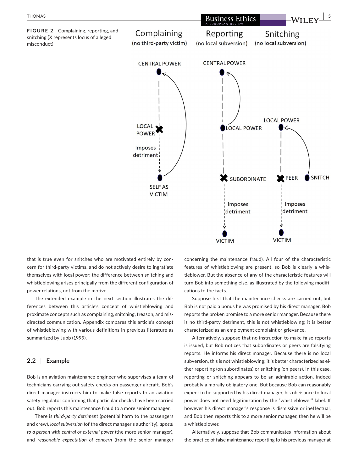

that is true even for snitches who are motivated entirely by concern for third-party victims, and do not actively desire to ingratiate themselves with local power: the difference between snitching and whistleblowing arises principally from the different configuration of power relations, not from the motive.

The extended example in the next section illustrates the differences between this article's concept of whistleblowing and proximate concepts such as complaining, snitching, treason, and misdirected communication. Appendix compares this article's concept of whistleblowing with various definitions in previous literature as summarized by Jubb (1999).

#### **2.2** | **Example**

Bob is an aviation maintenance engineer who supervises a team of technicians carrying out safety checks on passenger aircraft. Bob's direct manager instructs him to make false reports to an aviation safety regulator confirming that particular checks have been carried out. Bob reports this maintenance fraud to a more senior manager.

There is *third-party detriment* (potential harm to the passengers and crew), *local subversion* (of the direct manager's authority), *appeal to a person with central or external power* (the more senior manager), and *reasonable expectation of concern* (from the senior manager

concerning the maintenance fraud). All four of the characteristic features of whistleblowing are present, so Bob is clearly a whistleblower. But the absence of any of the characteristic features will turn Bob into something else, as illustrated by the following modifications to the facts.

Suppose first that the maintenance checks are carried out, but Bob is not paid a bonus he was promised by his direct manager. Bob reports the broken promise to a more senior manager. Because there is no third-party detriment, this is not whistleblowing; it is better characterized as an employment complaint or grievance.

Alternatively, suppose that no instruction to make false reports is issued, but Bob notices that subordinates or peers are falsifying reports. He informs his direct manager. Because there is no local subversion, this is not whistleblowing; it is better characterized as either reporting (on subordinates) or snitching (on peers). In this case, reporting or snitching appears to be an admirable action, indeed probably a morally obligatory one. But because Bob can reasonably expect to be supported by his direct manager, his obeisance to local power does not need legitimization by the "whistleblower" label. If however his direct manager's response is dismissive or ineffectual, and Bob then reports this to a more senior manager, then he will be a whistleblower.

Alternatively, suppose that Bob communicates information about the practice of false maintenance reporting to his previous manager at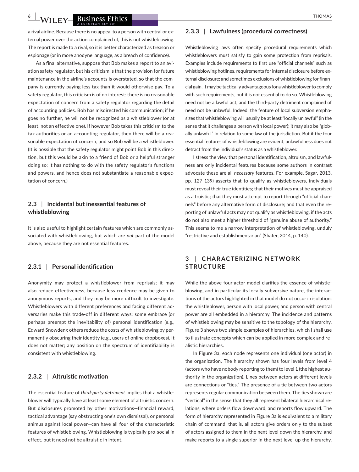**6 LWILEY Business Ethics** *CONTRESS <b>ETHOMAS* 

a rival airline. Because there is no appeal to a person with central or external power over the action complained of, this is not whistleblowing. The report is made to a rival, so it is better characterized as treason or espionage (or in more anodyne language, as a breach of confidence).

As a final alternative, suppose that Bob makes a report to an aviation safety regulator, but his criticism is that the provision for future maintenance in the airline's accounts is overstated, so that the company is currently paying less tax than it would otherwise pay. To a safety regulator, this criticism is of no interest: there is no reasonable expectation of concern from a safety regulator regarding the detail of accounting policies. Bob has misdirected his communication; if he goes no further, he will not be recognized as a whistleblower (or at least, not an effective one). If however Bob takes this criticism to the tax authorities or an accounting regulator, then there will be a reasonable expectation of concern, and so Bob will be a whistleblower. (It is possible that the safety regulator might point Bob in this direction, but this would be akin to a friend of Bob or a helpful stranger doing so; it has nothing to do with the safety regulator's functions and powers, and hence does not substantiate a reasonable expectation of concern.)

## **2.3** | **Incidental but inessential features of whistleblowing**

It is also useful to highlight certain features which are commonly associated with whistleblowing, but which are *not* part of the model above, because they are not essential features.

#### **2.3.1** | **Personal identification**

Anonymity may protect a whistleblower from reprisals; it may also reduce effectiveness, because less credence may be given to anonymous reports, and they may be more difficult to investigate. Whistleblowers with different preferences and facing different adversaries make this trade-off in different ways: some embrace (or perhaps preempt the inevitability of) personal identification (e.g., Edward Snowden); others reduce the costs of whistleblowing by permanently obscuring their identity (e.g., users of online dropboxes). It does not matter; any position on the spectrum of identifiability is consistent with whistleblowing.

#### **2.3.2** | **Altruistic motivation**

The essential feature of *third-party detriment* implies that a whistleblower will typically have at least some element of altruistic concern. But disclosures promoted by other motivations—financial reward, tactical advantage (say obstructing one's own dismissal), or personal animus against local power—can have all four of the characteristic features of whistleblowing. Whistleblowing is typically pro-social in effect, but it need not be altruistic in intent.

#### **2.3.3** | **Lawfulness (procedural correctness)**

Whistleblowing laws often specify procedural requirements which whistleblowers must satisfy to gain some protection from reprisals. Examples include requirements to first use "official channels" such as whistleblowing hotlines, requirements for internal disclosure before external disclosure; and sometimes exclusions of whistleblowing for financial gain. It may be tactically advantageous for a whistleblower to comply with such requirements, but it is not essential to do so. Whistleblowing need not be a lawful act, and the third-party detriment complained of need not be unlawful. Indeed, the feature of local subversion emphasizes that whistleblowing will usually be at least "locally unlawful" (in the sense that it challenges a person with local power); it may also be "globally unlawful" in relation to some law of the jurisdiction. But if the four essential features of whistleblowing are evident, unlawfulness does not detract from the individual's status as a whistleblower.

I stress the view that personal identification, altruism, and lawfulness are only incidental features because some authors in contrast advocate these are all *necessary* features. For example, Sagar, 2013, pp. 127–139) asserts that to qualify as whistleblowers, individuals must reveal their true identities; that their motives must be appraised as altruistic; that they must attempt to report through "official channels" before any alternative form of disclosure; and that even the reporting of unlawful acts may not qualify as whistleblowing, if the acts do not also meet a higher threshold of "genuine abuse of authority." This seems to me a narrow interpretation of whistleblowing, unduly "restrictive and establishmentarian" (Shafer, 2014, p. 140).

# **3** | **CHAR AC TERIZING NET WORK STRUCTURE**

While the above four-actor model clarifies the essence of whistleblowing, and in particular its locally subversive nature, the interactions of the actors highlighted in that model do not occur in isolation: the whistleblower, person with local power, and person with central power are all embedded in a hierarchy. The incidence and patterns of whistleblowing may be sensitive to the topology of the hierarchy. Figure 3 shows two simple examples of hierarchies, which I shall use to illustrate concepts which can be applied in more complex and realistic hierarchies.

In Figure 3a, each node represents one individual (one actor) in the organization. The hierarchy shown has four levels from level 4 (actors who have nobody reporting to them) to level 1 (the highest authority in the organization). Lines between actors at different levels are connections or "ties." The presence of a tie between two actors represents regular communication between them. The ties shown are "vertical" in the sense that they all represent bilateral hierarchical relations, where orders flow downward, and reports flow upward. The form of hierarchy represented in Figure 3a is equivalent to a military chain of command: that is, all actors give orders only to the subset of actors assigned to them in the next level down the hierarchy, and make reports to a single superior in the next level up the hierarchy.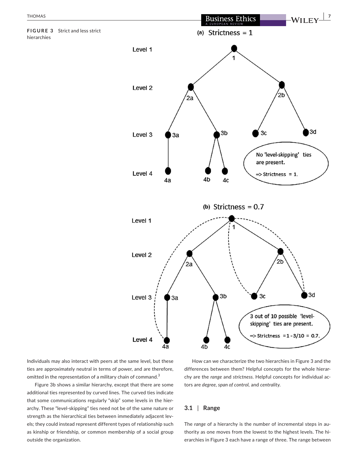

Individuals may also interact with peers at the same level, but these ties are approximately neutral in terms of power, and are therefore, omitted in the representation of a military chain of command.<sup>3</sup>

Figure 3b shows a similar hierarchy, except that there are some additional ties represented by curved lines. The curved ties indicate that some communications regularly "skip" some levels in the hierarchy. These "level-skipping" ties need not be of the same nature or strength as the hierarchical ties between immediately adjacent levels; they could instead represent different types of relationship such as kinship or friendship, or common membership of a social group outside the organization.

How can we characterize the two hierarchies in Figure 3 and the differences between them? Helpful concepts for the whole hierarchy are the *range* and *strictness*. Helpful concepts for individual actors are *degree, span of control,* and *centrality*.

#### **3.1** | **Range**

The *range* of a hierarchy is the number of incremental steps in authority as one moves from the lowest to the highest levels. The hierarchies in Figure 3 each have a range of three. The range between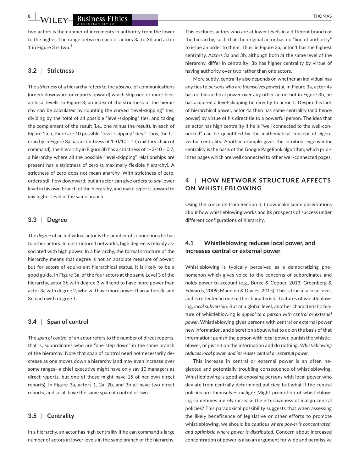**8 |** *A/LI* **EV RUSINESS Ethics** *CO* **EXECUTE: CO EXECUTE: CO EXECUTE: CO EXECUTE: CO EXECUTE: CO EXECUTE: CO EXECUTE: CO EXECUTE: CO EXECUTE: CO EXECUTE: CO EXECUTE: CO** 

two actors is the number of increments in authority from the lower to the higher. The range between each of actors 3a to 3d and actor 1 in Figure 3 is two.<sup>4</sup>

#### **3.2** | **Strictness**

The *strictness* of a hierarchy refers to the *absence* of communications (orders downward or reports upward) which skip one or more hierarchical levels. In Figure 3, an index of the strictness of the hierarchy can be calculated by counting the curved "level-skipping" ties, dividing by the total of all possible "level-skipping" ties, and taking the complement of the result (i.e., one minus the result). In each of Figure 2a,b, there are 10 possible "level-skipping" ties.<sup>5</sup> Thus, the hierarchy in Figure 3a has a strictness of 1–0/10 = 1 (a military chain of command); the hierarchy in Figure 3b has a strictness of 1–3/10 = 0.7; a hierarchy where all the possible "level-skipping" relationships are present has a strictness of zero (a maximally flexible hierarchy). A strictness of zero does not mean anarchy. With strictness of zero, orders still flow downward, but an actor can give orders to *any* lower level in his own branch of the hierarchy, and make reports upward to *any* higher level in the same branch.

#### **3.3** | **Degree**

The *degree* of an individual actor is the number of connections he has to other actors. In unstructured networks, high degree is reliably associated with high power. In a hierarchy, the formal structure of the hierarchy means that degree is not an absolute measure of power; but for actors of equivalent hierarchical status, it is likely to be a good guide. In Figure 3a, of the four actors at the same Level 3 of the hierarchy, actor 3b with degree 3 will tend to have more power than actor 3a with degree 2, who will have more power than actors 3c and 3d each with degree 1.

#### **3.4** | **Span of control**

The *span of control* of an actor refers to the number of direct reports, that is, subordinates who are "one step down" in the same branch of the hierarchy. Note that span of control need not necessarily decrease as one moves down a hierarchy (and may even increase over some ranges—a chief executive might have only say 10 managers as direct reports, but one of those might have 15 of her own direct reports). In Figure 3a, actors 1, 2a, 2b, and 3b all have two direct reports, and so all have the same span of control of two.

#### **3.5** | **Centrality**

In a hierarchy, an actor has high centrality if he can command a large number of actors at lower levels in the same branch of the hierarchy.

This excludes actors who are at lower levels in a different branch of the hierarchy, such that the original actor has no "line of authority" to issue an order to them. Thus, in Figure 3a, actor 1 has the highest centrality. Actors 3a and 3b, although both at the same level of the hierarchy, differ in centrality: 3b has higher centrality by virtue of having authority over two rather than one actors.

More subtly, centrality also depends on whether an individual has any ties to *persons who are themselves powerful*. In Figure 3a, actor 4a has no hierarchical power over any other actor; but in Figure 3b, he has acquired a level-skipping tie directly to actor 1. Despite his lack of hierarchical power, actor 4a then has some centrality (and hence power) by virtue of his direct tie to a powerful person. The idea that an actor has high centrality if he is "well connected to the well-connected" can be quantified by the mathematical concept of eigenvector centrality. Another example gives the intuition: eigenvector centrality is the basis of the Google PageRank algorithm, which prioritizes pages which are well connected to other well-connected pages.

# **4** | **HOW NET WORK STRUC TURE AFFEC TS ON WHISTLEBLOWING**

Using the concepts from Section 3, I now make some observations about how whistleblowing works and its prospects of success under different configurations of hierarchy.

# **4.1** | **Whistleblowing reduces local power, and increases central or external power**

Whistleblowing is typically perceived as a democratizing phenomenon which gives voice to the concerns of subordinates and holds power to account (e.g., Burke & Cooper, 2013; Greenberg & Edwards, 2009; Mannion & Davies, 2015). This is true at a local level, and is reflected in one of the characteristic features of whistleblowing, *local subversion*. But at a global level, another characteristic feature of whistleblowing is *appeal to a person with central or external power*. Whistleblowing gives persons with central or external power new information, and discretion about what to do on the basis of that information: punish the person with local power, punish the whistleblower, or just sit on the information and do nothing. *Whistleblowing reduces local power, and increases central or external power*.

This increase in central or external power is an often neglected and potentially troubling consequence of whistleblowing. Whistleblowing is good at exposing persons with local power who deviate from centrally determined policies; but what if the central policies are themselves malign? Might promotion of whistleblowing sometimes merely increase the effectiveness of malign central policies? This paradoxical possibility suggests that when assessing the likely beneficence of legislative or other efforts to promote whistleblowing, we should be *cautious where power is concentrated, and optimistic where power is distributed*. Concern about increased concentration of power is also an argument for wide and permissive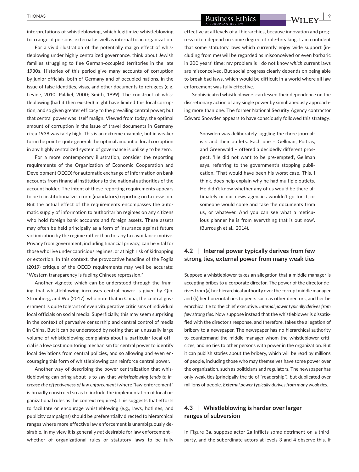interpretations of whistleblowing, which legitimize whistleblowing to a range of persons, external as well as internal to an organization.

For a vivid illustration of the potentially malign effect of whistleblowing under highly centralized governance, think about Jewish families struggling to flee German-occupied territories in the late 1930s. Histories of this period give many accounts of corruption by junior officials, both of Germany and of occupied nations, in the issue of false identities, visas, and other documents to refugees (e.g. Levine, 2010; Paldiel, 2000; Smith, 1999). The construct of whistleblowing (had it then existed) might have limited this local corruption, and so given greater efficacy to the prevailing central power; but that central power was itself malign. Viewed from today, the optimal amount of corruption in the issue of travel documents in Germany circa 1938 was fairly high. This is an extreme example, but in weaker form the point is quite general: the optimal amount of local corruption in any highly centralized system of governance is unlikely to be zero.

For a more contemporary illustration, consider the reporting requirements of the Organization of Economic Cooperation and Development OECD) for automatic exchange of information on bank accounts from financial institutions to the national authorities of the account holder. The intent of these reporting requirements appears to be to institutionalize a form (mandatory) reporting on tax evasion. But the actual effect of the requirements encompasses the automatic supply of information to authoritarian regimes on any citizens who hold foreign bank accounts and foreign assets. These assets may often be held principally as a form of insurance against future victimization by the regime rather than for any tax avoidance motive. Privacy from government, including financial privacy, can be vital for those who live under capricious regimes, or at high risk of kidnapping or extortion. In this context, the provocative headline of the Foglia (2019) critique of the OECD requirements may well be accurate: "Western transparency is fueling Chinese repression."

Another vignette which can be understood through the framing that whistleblowing increases central power is given by Qin, Stromberg, and Wu (2017), who note that in China, the central government is quite tolerant of even vituperative criticisms of individual local officials on social media. Superficially, this may seem surprising in the context of pervasive censorship and central control of media in China. But it can be understood by noting that an unusually large volume of whistleblowing complaints about a particular local official is a low-cost monitoring mechanism for central power to identify local deviations from central policies, and so allowing and even encouraging this form of whistleblowing can reinforce central power.

Another way of describing the power centralization that whistleblowing can bring about is to say that *whistleblowing tends to increase the effectiveness of law enforcement* (where "law enforcement" is broadly construed so as to include the implementation of local organizational rules as the context requires). This suggests that efforts to facilitate or encourage whistleblowing (e.g., laws, hotlines, and publicity campaigns) should be preferentially directed to hierarchical ranges where more effective law enforcement is unambiguously desirable. In my view it is generally *not* desirable for law enforcement whether of organizational rules or statutory laws—to be fully

**EXECUTE 2 BUSINESS Ethics EXECUTE 2 BUSINESS Ethics CONSUMIE 2 PUT IF V** 

effective at all levels of all hierarchies, because innovation and progress often depend on some degree of rule-breaking. I am confident that some statutory laws which currently enjoy wide support (including from me) will be regarded as misconceived or even barbaric in 200 years' time; my problem is I do not know *which* current laws are misconceived. But social progress clearly depends on being able to break bad laws, which would be difficult in a world where all law enforcement was fully effective.

Sophisticated whistleblowers can lessen their dependence on the discretionary action of any single power by simultaneously approaching more than one. The former National Security Agency contractor Edward Snowden appears to have consciously followed this strategy:

> Snowden was deliberately juggling the three journalists and their outlets. Each one – Gellman, Poitras, and Greenwald – offered a decidedly different prospect. 'He did not want to be pre-empted', Gellman says, referring to the government's stopping publication. 'That would have been his worst case. This, I think, does help explain why he had multiple outlets. He didn't know whether any of us would be there ultimately or our news agencies wouldn't go for it, or someone would come and take the documents from us, or whatever. And you can see what a meticulous planner he is from everything that is out now'. (Burrough et al., 2014).

# **4.2** | **Internal power typically derives from few strong ties, external power from many weak ties**

Suppose a whistleblower takes an allegation that a middle manager is accepting bribes to a corporate director. The power of the director derives from (a) her hierarchical authority over the corrupt middle manager and (b) her horizontal ties to peers such as other directors, and her hierarchical tie to the chief executive. *Internal power typically derives from few strong ties*. Now suppose instead that the whistleblower is dissatisfied with the director's response, and therefore, takes the allegation of bribery to a newspaper. The newspaper has no hierarchical authority to countermand the middle manager whom the whistleblower criticizes, and no ties to other persons with power in the organization. But it can publish stories about the bribery, which will be read by millions of people, including those who may themselves have some power over the organization, such as politicians and regulators. The newspaper has only weak ties (principally the tie of "readership"), but duplicated over millions of people. *External power typically derives from many weak ties*.

# **4.3** | **Whistleblowing is harder over larger ranges of subversion**

In Figure 3a, suppose actor 2a inflicts some detriment on a thirdparty, and the subordinate actors at levels 3 and 4 observe this. If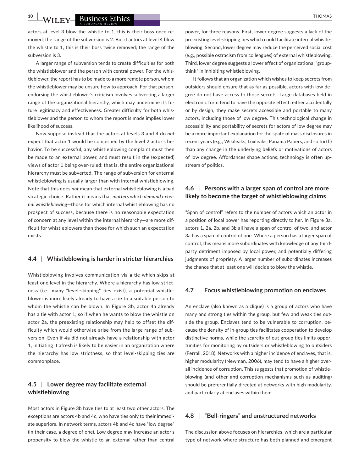**10 a WILEY Business Ethics** *CO* **EXECUTE: CO EXECUTE: CO EXECUTE: CO EXECUTE: CO EXECUTE: CO EXECUTE: CO EXECUTE: CO EXECUTE: CO EXECUTE: CO EXECUTE: CO EXECUTE: CO EXE** 

actors at level 3 blow the whistle to 1, this is their boss once removed; the range of the subversion is 2. But if actors at level 4 blow the whistle to 1, this is their boss twice removed; the range of the subversion is 3.

A larger range of subversion tends to create difficulties for both the whistleblower and the person with central power. For the whistleblower, the report has to be made to a more remote person, whom the whistleblower may be unsure how to approach. For that person, endorsing the whistleblower's criticism involves subverting a larger range of the organizational hierarchy, which may undermine its future legitimacy and effectiveness. Greater difficulty for both whistleblower and the person to whom the report is made implies lower likelihood of success.

Now suppose instead that the actors at levels 3 and 4 do *not* expect that actor 1 would be concerned by the level 2 actor's behavior. To be successful, any whistleblowing complaint must then be made to an external power, and must result in the (expected) views of actor 1 being over-ruled; that is, the entire organizational hierarchy must be subverted. The range of subversion for external whistleblowing is usually larger than with internal whistleblowing. Note that this does *not* mean that external whistleblowing is a bad strategic choice. Rather it means that *matters which demand external whistleblowing*—those for which internal whistleblowing has no prospect of success, because there is no reasonable expectation of concern at any level within the internal hierarchy—are more difficult for whistleblowers than those for which such an expectation exists.

#### **4.4** | **Whistleblowing is harder in stricter hierarchies**

Whistleblowing involves communication via a tie which skips at least one level in the hierarchy. Where a hierarchy has low strictness (i.e., many "level-skipping" ties exist), a potential whistleblower is more likely already to have a tie to a suitable person to whom the whistle can be blown. In Figure 3b, actor 4a already has a tie with actor 1; so if when he wants to blow the whistle on actor 2a, the preexisting relationship may help to offset the difficulty which would otherwise arise from the large range of subversion. Even if 4a did not already have a relationship with actor 1, initiating it afresh is likely to be easier in an organization where the hierarchy has low strictness, so that level-skipping ties are commonplace.

# **4.5** | **Lower degree may facilitate external whistleblowing**

Most actors in Figure 3b have ties to at least two other actors. The exceptions are actors 4b and 4c, who have ties only to their immediate superiors. In network terms, actors 4b and 4c have "low degree" (in their case, a degree of one). Low degree may increase an actor's propensity to blow the whistle to an external rather than central

power, for three reasons. First, lower degree suggests a lack of the preexisting level-skipping ties which could facilitate internal whistleblowing. Second, lower degree may reduce the perceived social cost (e.g., possible ostracism from colleagues) of external whistleblowing. Third, lower degree suggests a lower effect of organizational "groupthink" in inhibiting whistleblowing.

It follows that an organization which wishes to keep secrets from outsiders should ensure that as far as possible, actors with low degree do not have access to those secrets. Large databases held in electronic form tend to have the opposite effect: either accidentally or by design, they make secrets accessible and portable to many actors, including those of low degree. This technological change in accessibility and portability of secrets for actors of low degree may be a more important explanation for the spate of mass disclosures in recent years (e.g., Wikileaks, Luxleaks, Panama Papers, and so forth) than any change in the underlying beliefs or motivations of actors of low degree. Affordances shape actions; technology is often upstream of politics.

# **4.6** | **Persons with a larger span of control are more likely to become the target of whistleblowing claims**

"Span of control" refers to the number of actors which an actor in a position of local power has reporting directly to her. In Figure 3a, actors 1, 2a, 2b, and 3b all have a span of control of two, and actor 3a has a span of control of one. Where a person has a larger span of control, this means more subordinates with knowledge of any thirdparty detriment imposed by local power, and potentially differing judgments of propriety. A larger number of subordinates increases the chance that at least one will decide to blow the whistle.

#### **4.7** | **Focus whistleblowing promotion on enclaves**

An enclave (also known as a clique) is a group of actors who have many and strong ties within the group, but few and weak ties outside the group. Enclaves tend to be vulnerable to corruption, because the density of in-group ties facilitates cooperation to develop distinctive norms, while the scarcity of out-group ties limits opportunities for monitoring by outsiders or whistleblowing to outsiders (Ferrali, 2018). Networks with a higher incidence of enclaves, that is, higher modularity (Newman, 2006), may tend to have a higher overall incidence of corruption. This suggests that promotion of whistleblowing (and other anti-corruption mechanisms such as auditing) should be preferentially directed at networks with high modularity, and particularly at enclaves within them.

## **4.8** | **"Bell-ringers" and unstructured networks**

The discussion above focuses on hierarchies, which are a particular type of network where structure has both planned and emergent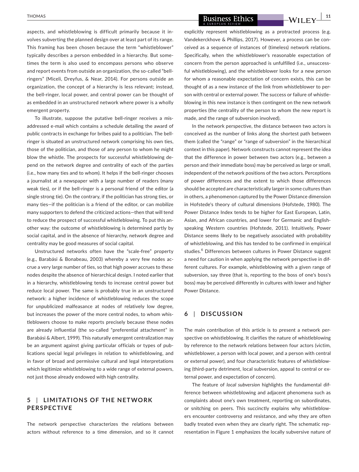aspects, and whistleblowing is difficult primarily because it involves subverting the planned design over at least part of its range. This framing has been chosen because the term "whistleblower" typically describes a person embedded in a hierarchy. But sometimes the term is also used to encompass persons who observe and report events from outside an organization, the so-called "bellringers" (Miceli, Dreyfus, & Near, 2014). For persons outside an organization, the concept of a hierarchy is less relevant; instead, the bell-ringer, local power, and central power can be thought of as embedded in an unstructured network where power is a wholly emergent property.

To illustrate, suppose the putative bell-ringer receives a misaddressed e-mail which contains a schedule detailing the award of public contracts in exchange for bribes paid to a politician. The bellringer is situated an unstructured network comprising his own ties, those of the politician, and those of any person to whom he might blow the whistle. The prospects for successful whistleblowing depend on the network degree and centrality of each of the parties (i.e., how many ties and to whom). It helps if the bell-ringer chooses a journalist at a newspaper with a large number of readers (many weak ties), or if the bell-ringer is a personal friend of the editor (a single strong tie). On the contrary, if the politician has strong ties, or many ties—if the politician is a friend of the editor, or can mobilize many supporters to defend the criticized actions—then that will tend to reduce the prospect of successful whistleblowing. To put this another way: the outcome of whistleblowing is determined partly by social capital, and in the absence of hierarchy, network degree and centrality may be good measures of social capital.

Unstructured networks often have the "scale-free" property (e.g., Barabási & Bonabeau, 2003) whereby a very few nodes accrue a very large number of ties, so that high power accrues to these nodes despite the absence of hierarchical design. I noted earlier that in a hierarchy, whistleblowing tends to increase central power but reduce local power. The same is probably true in an unstructured network: a higher incidence of whistleblowing reduces the scope for unpublicized malfeasance at nodes of relatively low degree, but increases the power of the more central nodes, to whom whistleblowers choose to make reports precisely because these nodes are already influential (the so-called "preferential attachment" in Barabási & Albert, 1999). This naturally emergent centralization may be an argument against giving particular officials or types of publications special legal privileges in relation to whistleblowing, and in favor of broad and permissive cultural and legal interpretations which legitimize whistleblowing to a wide range of external powers, not just those already endowed with high centrality.

# **5** | **LIMITATIONS OF THE NET WORK PERSPECTIVE**

The network perspective characterizes the relations between actors without reference to a time dimension, and so it cannot

**EXECUTE: BUSINESS Ethics 11 11 BUSINESS Ethics 11 11 CONTROLLEY** 

explicitly represent whistleblowing as a protracted process (e.g. Vandekerckhove & Phillips, 2017). However, a process can be conceived as a sequence of instances of (timeless) network relations. Specifically, when the whistleblower's reasonable expectation of concern from the person approached is unfulfilled (i.e., unsuccessful whistleblowing), and the whistleblower looks for a new person for whom a reasonable expectation of concern exists, this can be thought of as a new instance of the link from whistleblower to person with central or external power. The success or failure of whistleblowing in this new instance is then contingent on the new network properties (the centrality of the person to whom the new report is made, and the range of subversion involved).

In the network perspective, the distance between two actors is conceived as the number of links along the shortest path between them (called the "range" or "range of subversion" in the hierarchical context in this paper). Network constructs cannot represent the idea that the difference in power between two actors (e.g., between a person and their immediate boss) may be perceived as large or small, independent of the network positions of the two actors. Perceptions of power differences and the extent to which those differences should be accepted are characteristically larger in some cultures than in others, a phenomenon captured by the Power Distance dimension in Hofstede's theory of cultural dimensions (Hofstede, 1980). The Power Distance Index tends to be higher for East European, Latin, Asian, and African countries, and lower for Germanic and Englishspeaking Western countries (Hofstede, 2011). Intuitively, Power Distance seems likely to be negatively associated with probability of whistleblowing, and this has tended to be confirmed in empirical studies.<sup>6</sup> Differences between cultures in Power Distance suggest a need for caution in when applying the network perspective in different cultures. For example, whistleblowing with a given range of subversion, say three (that is, reporting to the boss of one's boss's boss) may be perceived differently in cultures with lower and higher Power Distance.

## **6** | **DISCUSSION**

The main contribution of this article is to present a network perspective on whistleblowing. It clarifies the nature of whistleblowing by reference to the network relations between four actors (victim, whistleblower, a person with local power, and a person with central or external power), and four characteristic features of whistleblowing (third-party detriment, local subversion, appeal to central or external power, and expectation of concern).

The feature of *local subversion* highlights the fundamental difference between whistleblowing and adjacent phenomena such as complaints about one's own treatment, reporting on subordinates, or snitching on peers. This succinctly explains why whistleblowers encounter controversy and resistance, and why they are often badly treated even when they are clearly right. The schematic representation in Figure 1 emphasizes the locally subversive nature of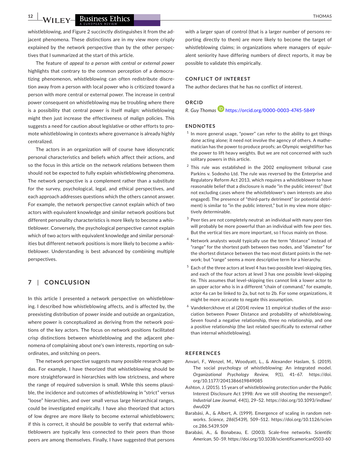**12 |**  THOMAS

whistleblowing, and Figure 2 succinctly distinguishes it from the adjacent phenomena. These distinctions are in my view more crisply explained by the network perspective than by the other perspectives that I summarized at the start of this article.

The feature of *appeal to a person with central or external power* highlights that contrary to the common perception of a democratizing phenomenon, whistleblowing can often redistribute discretion away from a person with local power who is criticized toward a person with more central or external power. The increase in central power consequent on whistleblowing may be troubling where there is a possibility that central power is itself malign: whistleblowing might then just increase the effectiveness of malign policies. This suggests a need for caution about legislative or other efforts to promote whistleblowing in contexts where governance is already highly centralized.

The actors in an organization will of course have idiosyncratic personal characteristics and beliefs which affect their actions, and so the focus in this article on the network relations between them should not be expected to fully explain whistleblowing phenomena. The network perspective is a complement rather than a substitute for the survey, psychological, legal, and ethical perspectives, and each approach addresses questions which the others cannot answer. For example, the network perspective cannot explain which of two actors with equivalent knowledge and similar network positions but different personality characteristics is more likely to become a whistleblower. Conversely, the psychological perspective cannot explain which of two actors with equivalent knowledge and similar personalities but different network positions is more likely to become a whistleblower. Understanding is best advanced by combining multiple perspectives.

#### **7** | **CONCLUSION**

In this article I presented a network perspective on whistleblowing. I described how whistleblowing affects, and is affected by, the preexisting distribution of power inside and outside an organization, where power is conceptualized as deriving from the network positions of the key actors. The focus on network positions facilitated crisp distinctions between whistleblowing and the adjacent phenomena of complaining about one's own interests, reporting on subordinates, and snitching on peers.

The network perspective suggests many possible research agendas. For example, I have theorized that whistleblowing should be more straightforward in hierarchies with low strictness, and where the range of required subversion is small. While this seems plausible, the incidence and outcomes of whistleblowing in "strict" versus "loose" hierarchies, and over small versus large hierarchical ranges, could be investigated empirically. I have also theorized that actors of low degree are more likely to become external whistleblowers; if this is correct, it should be possible to verify that external whistleblowers are typically less connected to their peers than those peers are among themselves. Finally, I have suggested that persons

with a larger span of control (that is a larger number of persons reporting directly to them) are more likely to become the target of whistleblowing claims; in organizations where managers of equivalent seniority have differing numbers of direct reports, it may be possible to validate this empirically.

#### **CONFLICT OF INTEREST**

The author declares that he has no conflict of interest.

## **ORCID**

*R. Guy Thomas* <https://orcid.org/0000-0003-4745-5849>

#### **ENDNOTES**

- $1$  In more general usage, "power" can refer to the ability to get things done acting alone; it need not involve the agency of others. A mathematician has the power to produce proofs; an Olympic weightlifter has the power to lift heavy weights. But we are not concerned with such solitary powers in this article.
- $2$  This rule was established in the 2002 employment tribunal case Parkins v. Sodexho Ltd. The rule was reversed by the Enterprise and Regulatory Reform Act 2013, which requires a whistleblower to have reasonable belief that a disclosure is made "in the public interest" (but not excluding cases where the whistleblower's own interests are also engaged). The presence of "third-party detriment" (or potential detriment) is similar to "in the public interest," but in my view more objectively determinable.
- $3$  Peer ties are not completely neutral: an individual with many peer ties will probably be more powerful than an individual with few peer ties. But the vertical ties are more important, so I focus mainly on those.
- <sup>4</sup> Network analysts would typically use the term "distance" instead of "range" for the shortest path between two nodes, and "diameter" for the shortest distance between the two most distant points in the network; but "range" seems a more descriptive term for a hierarchy.
- <sup>5</sup> Each of the three actors at level 4 has two possible level-skipping ties, and each of the four actors at level 3 has one possible level-skipping tie. This assumes that level-skipping ties cannot link a lower actor to an upper actor who is in a different "chain of command," for example, actor 4a can be linked to 2a, but not to 2b. For some organizations, it might be more accurate to negate this assumption.
- $6$  Vandekerckhove et al (2014) review 11 empirical studies of the association between Power Distance and probability of whistleblowing. Seven found a negative relationship, three no relationship, and one a positive relationship (the last related specifically to external rather than internal whistleblowing).

#### **REFERENCES**

- Anvari, F., Wenzel, M., Woodyatt, L., & Alexander Haslam, S. (2019). The social psychology of whistleblowing: An integrated model. *Organizational Psychology Review*, *9*(1), 41–67. [https://doi.](https://doi.org/10.1177/2041386619849085) [org/10.1177/2041386619849085](https://doi.org/10.1177/2041386619849085)
- Ashton, J. (2015). 15 years of whistleblowing protection under the Public Interest Disclosure Act 1998: Are we still shooting the messenger?. *Industrial Law Journal*, *44*(1), 29–52. [https://doi.org/10.1093/indlaw/](https://doi.org/10.1093/indlaw/dwu029) [dwu029](https://doi.org/10.1093/indlaw/dwu029)
- Barabási, A., & Albert, A. (1999). Emergence of scaling in random networks. *Science*, *286*(5439), 509–512. [https://doi.org/10.1126/scien](https://doi.org/10.1126/science.286.5439.509) [ce.286.5439.509](https://doi.org/10.1126/science.286.5439.509)
- Barabási, A., & Bonabeau, E. (2003). Scale-free networks. *Scientific American*, 50–59.<https://doi.org/10.1038/scientificamerican0503-60>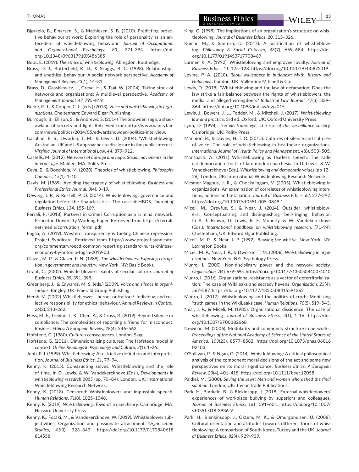Bjørkelo, B., Einarsen, S., & Mathiesen, S. B. (2010). Predicting proactive behaviour at work: Exploring the role of personality as an antecedent of whistleblowing behaviour. *Journal of Occupational and Organizational Psychology*, *83*, 371–394. [https://doi.](https://doi.org/10.1348/096317910X486385) [org/10.1348/096317910X486385](https://doi.org/10.1348/096317910X486385)

Boot, E. (2019). *The ethics of whistleblowing*. Abingdon: Routledge.

- Brass, D. J., Butterfield, K. D., & Skaggs, B. C. (1998). Relationships and unethical behaviour: A social network perspective. *Academy of Management Review*, *23*(1), 14–31.
- Brass, D., Gaaskiewicz, J., Greve, H., & Tsai, W. (2004). Taking stock of networks and organizations: A multilevel perspective. *Academy of Management Journal*, *47*, 795–819.
- Burke, R. J., & Cooper, C. L. (eds.) (2013). *Voice and whistleblowing in organizations*. Cheltenham: Edward Elgar Publishing.
- Burrough, B., Ellison, S., & Andrews, S. (2014) The Snowden saga: a shadowland of secrets and light. Retrieved from http://www.vanityfair. com/news/politics/2014/05/edwardsnowden-politics-interview.
- Callahan, E. S., Dworkin, T. M., & Lewis, D. (2004). 'Whistleblowing: Australian, UK and US approaches to disclosure in the public interest. *Virginia Journal of International Law*, *44*, 879–912.
- Castells, M. (2012). *Networks of outrage and hope: Social movements in the internet age*. Malden, MA: Polity Press.
- Ceva, E., & Bocchiola, M. (2020). Theories of whistleblowing. *Philosophy Compass*, *15*(1), 1–10.
- Davis, M. (1989). Avoiding the tragedy of whistleblowing. *Business and Professional Ethics Journal*, *8*(4), 3–19.
- Dewing, I. P., & Russell, P. O. (2014). Whistleblowing, governance and regulation before the financial crisis: The case of HBOS. *Journal of Business Ethics*, *134*, 155–169.
- Ferrali, R. (2018). Partners in Crime? Corruption as a criminal network. Princeton University Working Paper. Retrieved from [https://rferrali.](https://rferrali.net/media/corruption_ferrali.pdf) [net/media/corruption\\_ferrali.pdf](https://rferrali.net/media/corruption_ferrali.pdf)
- Foglia, A. (2019). Western transparency is fueling Chinese repression. Project Syndicate. Retrieved from [https://www.project-syndicate.](https://www.project-syndicate.org/commentary/oecd-common-reporting-standard-hurts-chinese-economy-by-antonio-foglia-2019-03) [org/commentary/oecd-common-reporting-standard-hurts-chinese](https://www.project-syndicate.org/commentary/oecd-common-reporting-standard-hurts-chinese-economy-by-antonio-foglia-2019-03)[economy-by-antonio-foglia-2019-03](https://www.project-syndicate.org/commentary/oecd-common-reporting-standard-hurts-chinese-economy-by-antonio-foglia-2019-03)
- Glazer, M. P., & Glazer, P. N. (1989). *The whistleblowers: Exposing corruption in government and industry*. New York, NY: Basic Books.
- Grant, C. (2002). Whistle blowers: Saints of secular culture. *Journal of Business Ethics*, *39*, 391–399.
- Greenberg, J., & Edwards, M. S. (eds.) (2009). *Voice and silence in organizations*. Bingley, UK: Emerald Group Publishing.
- Hersh, M. (2002). Whistleblower heroes or traitors?: Individual and collective responsibility for ethical behaviour. *Annual Reviews in Control*, *26*(2), 243–262.
- Hess, M. F., Treviño, L. K., Chen, A., & Cross, R. (2019). Beyond silence or compliance: The complexities of reporting a friend for misconduct. *Business Ethics: A European Review*, *28*(4), 546–562.
- Hofstede, G. (1980). *Culture's consequences*. London: Sage.
- Hofstede, G. (2011). Dimensionalizing cultures: The Hofstede model in context. *Online Readings in Psychology and Culture*, *2*(1), 1–26.
- Jubb, P. J. (1999). Whistleblowing: A restrictive definition and interpretation. *Journal of Business Ethics*, *21*, 77–94.
- Kenny, K. (2015). Constructing selves: Whistleblowing and the role of time. In D. Lewis, & W. Vandekerckhove (Eds.), *Developments in whistleblowing research 2015* (pp. 70–84). London, UK: International Whistleblowing Research Network.
- Kenny, K. (2018). Censored: Whistleblowers and impossible speech. *Human Relations*, *71*(8), 1025–1048.
- Kenny, K. (2019). *Whistleblowing: Towards a new theory*. Cambridge, MA: Harvard University Press.
- Kenny, K., Fotaki, M., & Vandekerckhove, W. (2019). Whistleblower subjectivities: Organization and passionate attachment. *Organization Studies*, *41*(3), 323–343. [https://doi.org/10.1177/0170840618](https://doi.org/10.1177/0170840618814558) [814558](https://doi.org/10.1177/0170840618814558)
- King, G. (1999). The implications of an organization's structure on whistleblowing. *Journal of Business Ethics*, *20*, 315–326.
- Kumar, M., & Santoro, D. (2017). A justification of whistleblowing. *Philosophy & Social Criticism*, *43*(7), 669–684. [https://doi.](https://doi.org/10.1177/0191453717708469) [org/10.1177/0191453717708469](https://doi.org/10.1177/0191453717708469)
- Larmer, R. A. (1992). Whistleblowing and employee loyalty. *Journal of Business Ethics*, *11*, 125–128. <https://doi.org/10.1007/BF00872319>
- Levine, P. A. (2010). *Raoul wallenberg in budapest: Myth, history and Holocaust*. London, UK: Vallentine Mitchell & Co.
- Lewis, D. (2018). 'Whistleblowing and the law of defamation: Does the law strike a fair balance between the rights of whistleblowers, the media, and alleged wrongdoers? *Industrial Law Journal*, *47*(3), 339– 364.<https://doi.org/10.1093/indlaw/dwx015>
- Lewis, J., Bowers, J. L., Fodder, M., & Mitchell, J. (2017). *Whistleblowing law and practice*, 3rd ed. Oxford, UK: Oxford University Press.
- Lyon, D. (1994). *The electronic eye: The rise of the surveillance society*. Cambridge, UK: Polity Press.
- Mannion, R., & Davies, H. T. O. (2015). Cultures of silence and cultures of voice: The role of whistleblowing in healthcare organizations. *International Journal of Health Policy and Management*, *4*(8), 503–505.
- Mansbach, A. (2011) Whistleblowing as fearless speech: The radical democratic effects of late modern parrhesia. In D. Lewis, & W. Vandekerckhove (Eds.), *Whistleblowing and democratic values* (pp 12– 26). London, UK: International Whistleblowing Research Network.
- Mesmer-Magnus, J. R., & Chockalingam, V. (2005). Whistleblowing in organizations: An examination of correlates of whistleblowing intentions, actions and retaliation. *Journal of Business Ethics*, *62*, 277–297. <https://doi.org/10.1007/s10551-005-0849-1>
- Miceli, M., Dreyfus, S., & Near, J. (2014). Outsider 'whistleblowers': Conceptualizing and distinguishing 'bell-ringing' behavior. In A. J. Brown, D. Lewis, R. E. Moberly, & W. Vandekerckhove (Eds.), *International handbook on whistleblowing research*, (71–94). Cheltenham, UK: Edward Elgar Publishing.
- Miceli, M. P., & Near, J. P. (1992). *Blowing the whistle*. New York, NY: Lexington Books.
- Miceli, M. P., Near, J. P., & Dworkin, T. M. (2008). *Whistleblowing in organizations*. New York, NY: Psychology Press.
- Munro, I. (2000). Non-disciplinary power and the network society. *Organization*, *7*(4), 679–695. <https://doi.org/10.1177/135050840074010>
- Munro, I. (2016). Organizational resistance as a vector of deterritorialization: The case of Wikileaks and secrecy havens. *Organization*, *23*(4), 567–587. <https://doi.org/10.1177/1350508415591362>
- Munro, I. (2017). Whistleblowing and the politics of truth: Mobilizing 'truth games' in the WikiLeaks case. *Human Relations*, *70*(5), 519–543.
- Near, J. P., & Miceli, M. (1985). Organizational dissidence: The case of whistleblowing. *Journal of Business Ethics*, *4*(1), 1–16. [https://doi.](https://doi.org/10.1007/BF00382668) [org/10.1007/BF00382668](https://doi.org/10.1007/BF00382668)
- Newman, M. (2006). Modularity and community structure in networks. *Proceedings of the National Academy of Science of the United States of America*, *103*(23), 8577–8582. [https://doi.org/10.1073/pnas.06016](https://doi.org/10.1073/pnas.0601602103) [02103](https://doi.org/10.1073/pnas.0601602103)
- O'Sullivan, P., & Ngau, O. (2014). Whistleblowing: A critical philosophical analysis of the component moral decisions of the act and some new perspectives on its moral significance. *Business Ethics: A European Review*, *23*(4), 401–415. <https://doi.org/10.1111/beer.12058>
- Paldiel, M. (2000). *Saving the Jews: Men and women who defied the final solution*. London, UK: Taylor Trade Publications.
- Park, H., Bjørkelo, B., & Blekinsopp, J. (2018). External whistleblowers' experiences of workplace bullying by superiors and colleagues. *Journal of Business Ethics*, *161*, 591–601. [https://doi.org/10.1007/](https://doi.org/10.1007/s10551-018-3936-9) [s10551-018-3936-9](https://doi.org/10.1007/s10551-018-3936-9)
- Park, H., Blenkinsopp, J., Oktem, M. K., & Omurgonulsen, U. (2008). Cultural orientation and attitudes towards different forms of whistleblowing: A comparison of South Korea, Turkey and the UK. *Journal of Business Ethics*, *82*(4), 929–939.